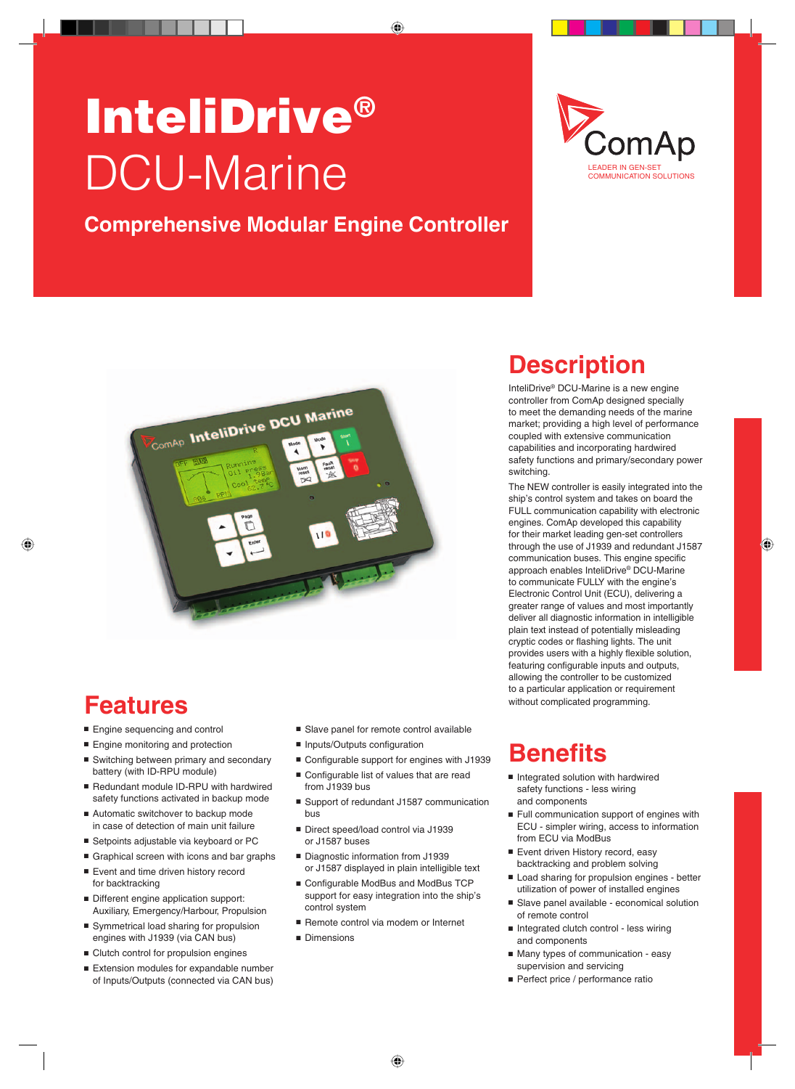# InteliDrive® DCU-Marine

#### **Comprehensive Modular Engine Controller**





## **Features**

- Engine sequencing and control
- **Engine monitoring and protection**
- Switching between primary and secondary battery (with ID-RPU module)
- Redundant module ID-RPU with hardwired safety functions activated in backup mode
- Automatic switchover to backup mode in case of detection of main unit failure
- Setpoints adjustable via keyboard or PC
- Graphical screen with icons and bar graphs
- Event and time driven history record for backtracking
- Different engine application support: Auxiliary, Emergency/Harbour, Propulsion
- Symmetrical load sharing for propulsion engines with J1939 (via CAN bus)
- $\blacksquare$  Clutch control for propulsion engines
- $E$  Extension modules for expandable number of Inputs/Outputs (connected via CAN bus)
- $\blacksquare$  Slave panel for remote control available
- $\blacksquare$  Inputs/Outputs configuration
- Configurable support for engines with J1939
- $\blacksquare$  Configurable list of values that are read from J1939 bus
- Support of redundant J1587 communication bus
- Direct speed/load control via J1939 or J1587 buses
- Diagnostic information from J1939 or J1587 displayed in plain intelligible text
- Configurable ModBus and ModBus TCP support for easy integration into the ship's control system
- Remote control via modem or Internet
- Dimensions

## **Description**

InteliDrive® DCU-Marine is a new engine controller from ComAp designed specially to meet the demanding needs of the marine market; providing a high level of performance coupled with extensive communication capabilities and incorporating hardwired safety functions and primary/secondary power switching.

The NEW controller is easily integrated into the ship's control system and takes on board the FULL communication capability with electronic engines. ComAp developed this capability for their market leading gen-set controllers through the use of J1939 and redundant J1587 communication buses. This engine specific approach enables InteliDrive® DCU-Marine to communicate FULLY with the engine's Electronic Control Unit (ECU), delivering a greater range of values and most importantly deliver all diagnostic information in intelligible plain text instead of potentially misleading cryptic codes or flashing lights. The unit provides users with a highly flexible solution, featuring configurable inputs and outputs, allowing the controller to be customized to a particular application or requirement without complicated programming.

## **Benefits**

- **n** Integrated solution with hardwired safety functions - less wiring and components
- $\blacksquare$  Full communication support of engines with ECU - simpler wiring, access to information from ECU via ModBus
- Event driven History record, easy backtracking and problem solving
- Load sharing for propulsion engines better utilization of power of installed engines
- Slave panel available economical solution of remote control
- Integrated clutch control less wiring and components
- Many types of communication easy supervision and servicing
- Perfect price / performance ratio